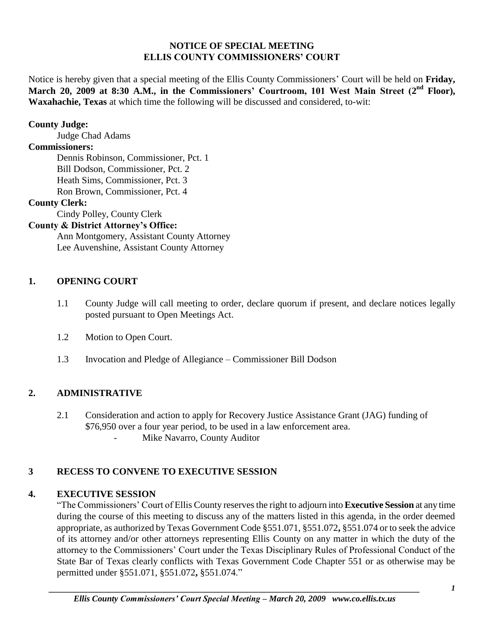#### **NOTICE OF SPECIAL MEETING ELLIS COUNTY COMMISSIONERS' COURT**

Notice is hereby given that a special meeting of the Ellis County Commissioners' Court will be held on **Friday,**  March 20, 2009 at 8:30 A.M., in the Commissioners' Courtroom, 101 West Main Street (2<sup>nd</sup> Floor), **Waxahachie, Texas** at which time the following will be discussed and considered, to-wit:

#### **County Judge:**

Judge Chad Adams

### **Commissioners:**

Dennis Robinson, Commissioner, Pct. 1 Bill Dodson, Commissioner, Pct. 2 Heath Sims, Commissioner, Pct. 3 Ron Brown, Commissioner, Pct. 4

### **County Clerk:**

Cindy Polley, County Clerk

# **County & District Attorney's Office:**

Ann Montgomery, Assistant County Attorney Lee Auvenshine, Assistant County Attorney

### **1. OPENING COURT**

- 1.1 County Judge will call meeting to order, declare quorum if present, and declare notices legally posted pursuant to Open Meetings Act.
- 1.2 Motion to Open Court.
- 1.3 Invocation and Pledge of Allegiance Commissioner Bill Dodson

# **2. ADMINISTRATIVE**

2.1 Consideration and action to apply for Recovery Justice Assistance Grant (JAG) funding of \$76,950 over a four year period, to be used in a law enforcement area. Mike Navarro, County Auditor

# **3 RECESS TO CONVENE TO EXECUTIVE SESSION**

# **4. EXECUTIVE SESSION**

"The Commissioners' Court of Ellis County reserves the right to adjourn into **Executive Session** at any time during the course of this meeting to discuss any of the matters listed in this agenda, in the order deemed appropriate, as authorized by Texas Government Code §551.071, §551.072**,** §551.074 or to seek the advice of its attorney and/or other attorneys representing Ellis County on any matter in which the duty of the attorney to the Commissioners' Court under the Texas Disciplinary Rules of Professional Conduct of the State Bar of Texas clearly conflicts with Texas Government Code Chapter 551 or as otherwise may be permitted under §551.071, §551.072**,** §551.074."